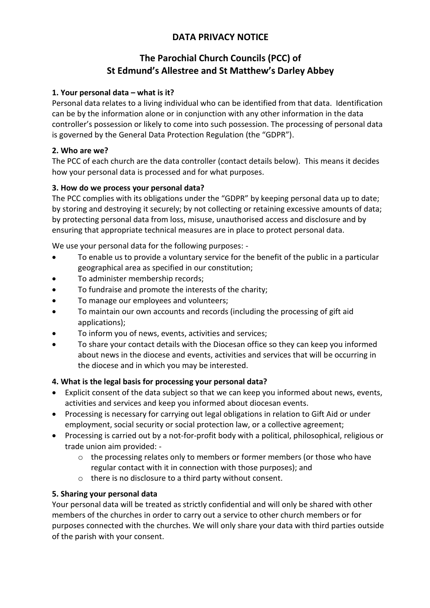# **DATA PRIVACY NOTICE**

# **The Parochial Church Councils (PCC) of St Edmund's Allestree and St Matthew's Darley Abbey**

## **1. Your personal data – what is it?**

Personal data relates to a living individual who can be identified from that data. Identification can be by the information alone or in conjunction with any other information in the data controller's possession or likely to come into such possession. The processing of personal data is governed by the General Data Protection Regulation (the "GDPR").

### **2. Who are we?**

The PCC of each church are the data controller (contact details below). This means it decides how your personal data is processed and for what purposes.

### **3. How do we process your personal data?**

The PCC complies with its obligations under the "GDPR" by keeping personal data up to date; by storing and destroying it securely; by not collecting or retaining excessive amounts of data; by protecting personal data from loss, misuse, unauthorised access and disclosure and by ensuring that appropriate technical measures are in place to protect personal data.

We use your personal data for the following purposes: -

- To enable us to provide a voluntary service for the benefit of the public in a particular geographical area as specified in our constitution;
- To administer membership records;
- To fundraise and promote the interests of the charity:
- To manage our employees and volunteers;
- To maintain our own accounts and records (including the processing of gift aid applications);
- To inform you of news, events, activities and services;
- To share your contact details with the Diocesan office so they can keep you informed about news in the diocese and events, activities and services that will be occurring in the diocese and in which you may be interested.

#### **4. What is the legal basis for processing your personal data?**

- Explicit consent of the data subject so that we can keep you informed about news, events, activities and services and keep you informed about diocesan events.
- Processing is necessary for carrying out legal obligations in relation to Gift Aid or under employment, social security or social protection law, or a collective agreement;
- Processing is carried out by a not-for-profit body with a political, philosophical, religious or trade union aim provided:
	- o the processing relates only to members or former members (or those who have regular contact with it in connection with those purposes); and
	- o there is no disclosure to a third party without consent.

#### **5. Sharing your personal data**

Your personal data will be treated as strictly confidential and will only be shared with other members of the churches in order to carry out a service to other church members or for purposes connected with the churches. We will only share your data with third parties outside of the parish with your consent.